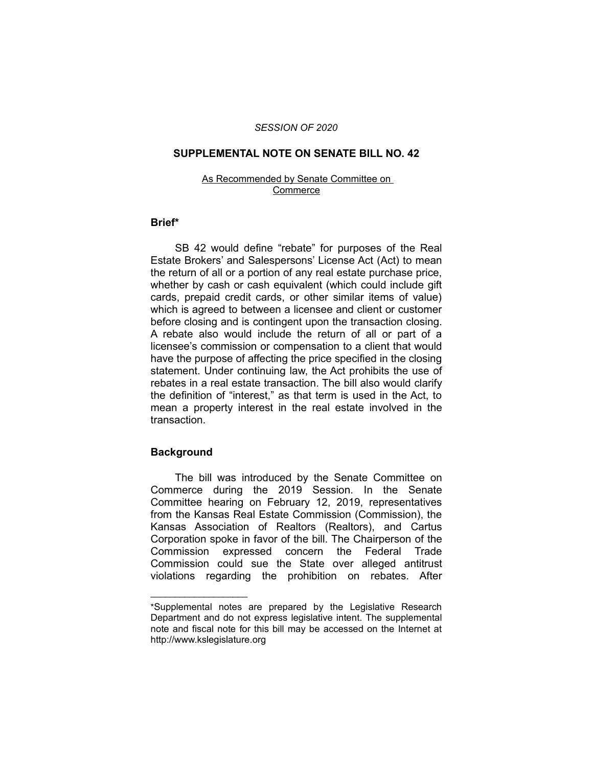## *SESSION OF 2020*

## **SUPPLEMENTAL NOTE ON SENATE BILL NO. 42**

#### As Recommended by Senate Committee on **Commerce**

# **Brief\***

SB 42 would define "rebate" for purposes of the Real Estate Brokers' and Salespersons' License Act (Act) to mean the return of all or a portion of any real estate purchase price, whether by cash or cash equivalent (which could include gift cards, prepaid credit cards, or other similar items of value) which is agreed to between a licensee and client or customer before closing and is contingent upon the transaction closing. A rebate also would include the return of all or part of a licensee's commission or compensation to a client that would have the purpose of affecting the price specified in the closing statement. Under continuing law, the Act prohibits the use of rebates in a real estate transaction. The bill also would clarify the definition of "interest," as that term is used in the Act, to mean a property interest in the real estate involved in the transaction.

# **Background**

 $\overline{\phantom{a}}$  , where  $\overline{\phantom{a}}$  , where  $\overline{\phantom{a}}$ 

The bill was introduced by the Senate Committee on Commerce during the 2019 Session. In the Senate Committee hearing on February 12, 2019, representatives from the Kansas Real Estate Commission (Commission), the Kansas Association of Realtors (Realtors), and Cartus Corporation spoke in favor of the bill. The Chairperson of the Commission expressed concern the Federal Trade Commission could sue the State over alleged antitrust violations regarding the prohibition on rebates. After

<sup>\*</sup>Supplemental notes are prepared by the Legislative Research Department and do not express legislative intent. The supplemental note and fiscal note for this bill may be accessed on the Internet at http://www.kslegislature.org